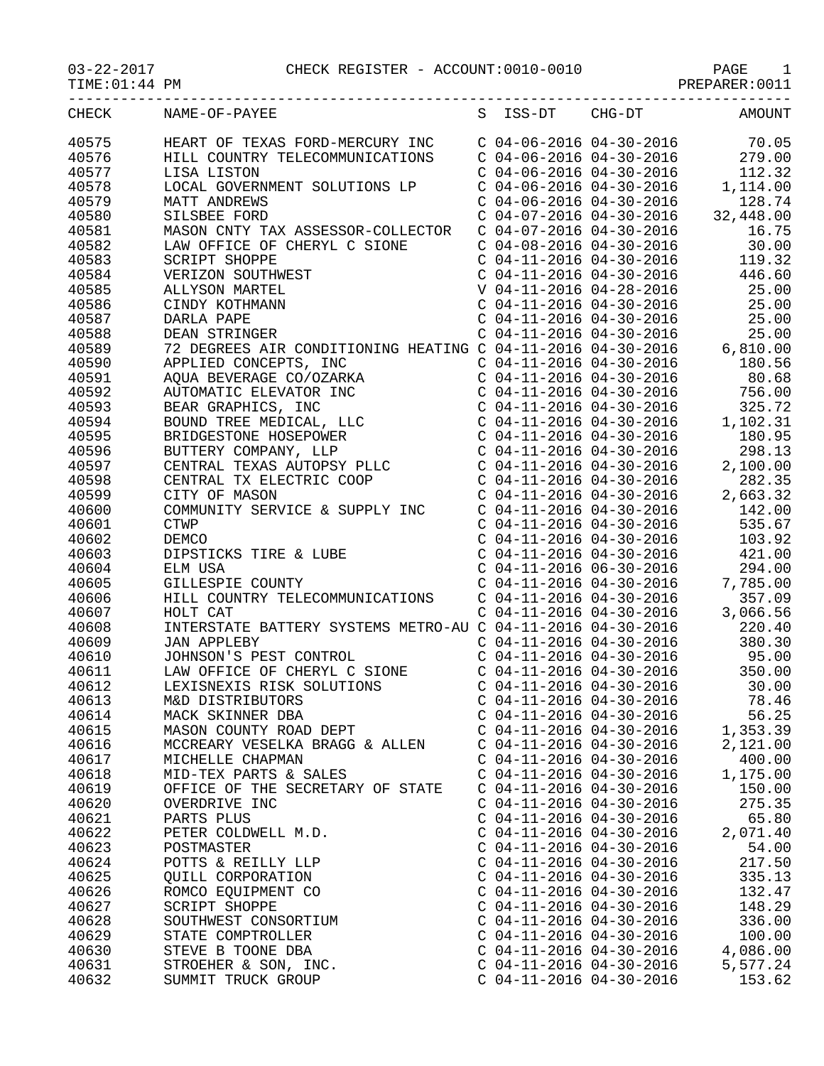| CHECK          | NAME-OF-PAYEE                                                                                                                                                                                                                                             |                           | S ISS-DT CHG-DT                                                               | AMOUNT                                                                                                                                                                              |
|----------------|-----------------------------------------------------------------------------------------------------------------------------------------------------------------------------------------------------------------------------------------------------------|---------------------------|-------------------------------------------------------------------------------|-------------------------------------------------------------------------------------------------------------------------------------------------------------------------------------|
| 40575          | HEART OF TEXAS FORD-MERCURY INC                                                                                                                                                                                                                           |                           |                                                                               | $C$ 04-06-2016 04-30-2016 70.05                                                                                                                                                     |
| 40576          | HILL COUNTRY TELECOMMUNICATIONS                                                                                                                                                                                                                           |                           |                                                                               |                                                                                                                                                                                     |
| 40577          | LISA LISTON                                                                                                                                                                                                                                               |                           |                                                                               | $\begin{array}{cccc} \text{C} & 04-06-2016 & 04-30-2016 & & 279.00 \\ \text{C} & 04-06-2016 & 04-30-2016 & & 112.32 \\ \text{C} & 04-06-2016 & 04-30-2016 & & 1,114.00 \end{array}$ |
| 40578          | LOCAL GOVERNMENT SOLUTIONS LP                                                                                                                                                                                                                             |                           |                                                                               |                                                                                                                                                                                     |
| 40579          | <b>MATT ANDREWS</b>                                                                                                                                                                                                                                       |                           | $C$ 04-06-2016 04-30-2016                                                     | 128.74                                                                                                                                                                              |
| 40580          | SILSBEE FORD                                                                                                                                                                                                                                              |                           |                                                                               | $C$ 04-07-2016 04-30-2016 32,448.00                                                                                                                                                 |
| 40581          | MASON CNTY TAX ASSESSOR-COLLECTOR                                                                                                                                                                                                                         |                           |                                                                               | 16.75                                                                                                                                                                               |
| 40582          | LAW OFFICE OF CHERYL C SIONE                                                                                                                                                                                                                              |                           | C 04-07-2016 04-30-2016<br>C 04-08-2016 04-30-2016<br>C 04-11-2016 04-30-2016 | 30.00                                                                                                                                                                               |
| 40583          | <b>SCRIPT SHOPPE</b>                                                                                                                                                                                                                                      |                           |                                                                               | 119.32                                                                                                                                                                              |
| 40584          | VERIZON SOUTHWEST                                                                                                                                                                                                                                         |                           | $C$ 04-11-2016 04-30-2016                                                     | 446.60                                                                                                                                                                              |
| 40585          | ALLYSON MARTEL                                                                                                                                                                                                                                            |                           | V 04-11-2016 04-28-2016                                                       | 25.00                                                                                                                                                                               |
| 40586          | CINDY KOTHMANN                                                                                                                                                                                                                                            |                           | $C$ 04-11-2016 04-30-2016                                                     | 25.00                                                                                                                                                                               |
| 40587          | DARLA PAPE                                                                                                                                                                                                                                                |                           |                                                                               |                                                                                                                                                                                     |
| 40588          | DEAN STRINGER                                                                                                                                                                                                                                             |                           |                                                                               |                                                                                                                                                                                     |
| 40589          | DARLA PAPE<br>DEAN STRINGER CONDITIONING HEATING C 04-11-2016 04-30-2016 25.00<br>72 DEGREES AIR CONDITIONING HEATING C 04-11-2016 04-30-2016 6,810.00                                                                                                    |                           |                                                                               |                                                                                                                                                                                     |
| 40590          |                                                                                                                                                                                                                                                           |                           | $C$ 04-11-2016 04-30-2016                                                     | 180.56                                                                                                                                                                              |
| 40591          |                                                                                                                                                                                                                                                           |                           |                                                                               | $C$ 04-11-2016 04-30-2016 80.68                                                                                                                                                     |
| 40592          |                                                                                                                                                                                                                                                           |                           |                                                                               |                                                                                                                                                                                     |
| 40593          |                                                                                                                                                                                                                                                           |                           |                                                                               |                                                                                                                                                                                     |
| 40594          |                                                                                                                                                                                                                                                           |                           |                                                                               | $\begin{array}{cccc} \text{C} & 04-11-2016 & 04-30-2016 & & 756.00 \\ \text{C} & 04-11-2016 & 04-30-2016 & & 325.72 \\ \text{C} & 04-11-2016 & 04-30-2016 & & 1,102.31 \end{array}$ |
| 40595          |                                                                                                                                                                                                                                                           |                           |                                                                               | $C$ 04-11-2016 04-30-2016 180.95                                                                                                                                                    |
| 40596          | APPLIED CONCEPTS, INC<br>AQUA BEVERAGE CO/OZARKA<br>AUTOMATIC ELEVATOR INC<br>BEAR GRAPHICS, INC<br>BOUND TREE MEDICAL, LLC<br>BRIDGESTONE HOSEPOWER<br>BUTTERY COMPANY, LLP<br>CENTRAL TEXAS AUTOPSY PLLC<br>CENTRAL TEXAS AUTOPSY PLLC<br>CENTRAL TX EL |                           | C 04-11-2016 04-30-2016                                                       | 298.13                                                                                                                                                                              |
| 40597          |                                                                                                                                                                                                                                                           |                           |                                                                               | 2,100.00                                                                                                                                                                            |
| 40598          |                                                                                                                                                                                                                                                           |                           | $C$ 04-11-2016 04-30-2016                                                     | 282.35                                                                                                                                                                              |
| 40599          | CENTRAL TX ELECTRIC COOP<br>CITY OF MASON<br>CITY OF MASON                                                                                                                                                                                                |                           | C 04-11-2016 04-30-2016<br>C 04-11-2016 04-30-2016<br>C 04-11-2016 04-30-2016 | 2,663.32                                                                                                                                                                            |
| 40600          | COMMUNITY SERVICE & SUPPLY INC                                                                                                                                                                                                                            |                           |                                                                               | 142.00                                                                                                                                                                              |
| 40601          | <b>CTWP</b>                                                                                                                                                                                                                                               |                           | $C$ 04-11-2016 04-30-2016                                                     | 535.67                                                                                                                                                                              |
| 40602          |                                                                                                                                                                                                                                                           |                           | $C$ 04-11-2016 04-30-2016                                                     | 103.92                                                                                                                                                                              |
| 40603          | DEMCO<br>DIPSTICKS TIRE & LUBE<br>ELM USA<br>GILLESPIE COUNTY                                                                                                                                                                                             |                           | $C$ 04-11-2016 04-30-2016                                                     | 421.00                                                                                                                                                                              |
| 40604          |                                                                                                                                                                                                                                                           |                           |                                                                               |                                                                                                                                                                                     |
| 40605          |                                                                                                                                                                                                                                                           |                           |                                                                               | $\begin{array}{cccc} \text{C} & 04-11-2016 & 06-30-2016 & & 294.00 \\ \text{C} & 04-11-2016 & 04-30-2016 & & 7,785.00 \\ \text{C} & 04-11-2016 & 04-30-2016 & & 357.09 \end{array}$ |
| 40606          | HILL COUNTRY TELECOMMUNICATIONS                                                                                                                                                                                                                           |                           |                                                                               |                                                                                                                                                                                     |
| 40607          | HOLT CAT                                                                                                                                                                                                                                                  |                           | $C$ 04-11-2016 04-30-2016                                                     | 3,066.56                                                                                                                                                                            |
| 40608          | INTERSTATE BATTERY SYSTEMS METRO-AU C 04-11-2016 04-30-2016                                                                                                                                                                                               |                           |                                                                               | 220.40                                                                                                                                                                              |
|                |                                                                                                                                                                                                                                                           |                           |                                                                               |                                                                                                                                                                                     |
| 40609<br>40610 | JOHNSON'S PEST CONTROL<br>LAW OFFICE OF CHERYL C SIONE<br>LEXISNEXIS RISK SOLUTIONS<br>M&D DISTRIBUTOPS                                                                                                                                                   |                           | C 04-11-2016 04-30-2016<br>C 04-11-2016 04-30-2016                            | 380.30<br>95.00                                                                                                                                                                     |
| 40611          |                                                                                                                                                                                                                                                           |                           | $C$ 04-11-2016 04-30-2016                                                     | 350.00                                                                                                                                                                              |
|                |                                                                                                                                                                                                                                                           | $C$ 04-11-2016 04-30-2016 |                                                                               | 30.00                                                                                                                                                                               |
| 40612          |                                                                                                                                                                                                                                                           |                           |                                                                               |                                                                                                                                                                                     |
| 40613          | M&D DISTRIBUTORS                                                                                                                                                                                                                                          | $C$ 04-11-2016 04-30-2016 |                                                                               | 78.46                                                                                                                                                                               |
| 40614          | MACK SKINNER DBA                                                                                                                                                                                                                                          | $C$ 04-11-2016 04-30-2016 |                                                                               | 56.25                                                                                                                                                                               |
| 40615          | MASON COUNTY ROAD DEPT                                                                                                                                                                                                                                    | $C$ 04-11-2016 04-30-2016 |                                                                               | 1,353.39                                                                                                                                                                            |
| 40616          | MCCREARY VESELKA BRAGG & ALLEN                                                                                                                                                                                                                            | $C$ 04-11-2016 04-30-2016 |                                                                               | 2,121.00                                                                                                                                                                            |
| 40617          | MICHELLE CHAPMAN                                                                                                                                                                                                                                          | $C$ 04-11-2016 04-30-2016 |                                                                               | 400.00                                                                                                                                                                              |
| 40618          | MID-TEX PARTS & SALES                                                                                                                                                                                                                                     | $C$ 04-11-2016 04-30-2016 |                                                                               | 1,175.00                                                                                                                                                                            |
| 40619          | OFFICE OF THE SECRETARY OF STATE                                                                                                                                                                                                                          | $C$ 04-11-2016 04-30-2016 |                                                                               | 150.00                                                                                                                                                                              |
| 40620          | OVERDRIVE INC                                                                                                                                                                                                                                             | $C$ 04-11-2016 04-30-2016 |                                                                               | 275.35                                                                                                                                                                              |
| 40621          | PARTS PLUS                                                                                                                                                                                                                                                | $C$ 04-11-2016 04-30-2016 |                                                                               | 65.80                                                                                                                                                                               |
| 40622          | PETER COLDWELL M.D.                                                                                                                                                                                                                                       | $C$ 04-11-2016 04-30-2016 |                                                                               | 2,071.40                                                                                                                                                                            |
| 40623          | POSTMASTER                                                                                                                                                                                                                                                | $C$ 04-11-2016 04-30-2016 |                                                                               | 54.00                                                                                                                                                                               |
| 40624          | POTTS & REILLY LLP                                                                                                                                                                                                                                        | $C$ 04-11-2016 04-30-2016 |                                                                               | 217.50                                                                                                                                                                              |
| 40625          | QUILL CORPORATION                                                                                                                                                                                                                                         | $C$ 04-11-2016 04-30-2016 |                                                                               | 335.13                                                                                                                                                                              |
| 40626          | ROMCO EQUIPMENT CO                                                                                                                                                                                                                                        | $C$ 04-11-2016 04-30-2016 |                                                                               | 132.47                                                                                                                                                                              |
| 40627          | SCRIPT SHOPPE                                                                                                                                                                                                                                             | $C$ 04-11-2016 04-30-2016 |                                                                               | 148.29                                                                                                                                                                              |
| 40628          | SOUTHWEST CONSORTIUM                                                                                                                                                                                                                                      | $C$ 04-11-2016 04-30-2016 |                                                                               | 336.00                                                                                                                                                                              |
| 40629          | STATE COMPTROLLER                                                                                                                                                                                                                                         | $C$ 04-11-2016 04-30-2016 |                                                                               | 100.00                                                                                                                                                                              |
| 40630          | STEVE B TOONE DBA                                                                                                                                                                                                                                         | $C$ 04-11-2016 04-30-2016 |                                                                               | 4,086.00                                                                                                                                                                            |
| 40631          | STROEHER & SON, INC.                                                                                                                                                                                                                                      | $C$ 04-11-2016 04-30-2016 |                                                                               | 5,577.24                                                                                                                                                                            |

40632 SUMMIT TRUCK GROUP C 04-11-2016 04-30-2016 153.62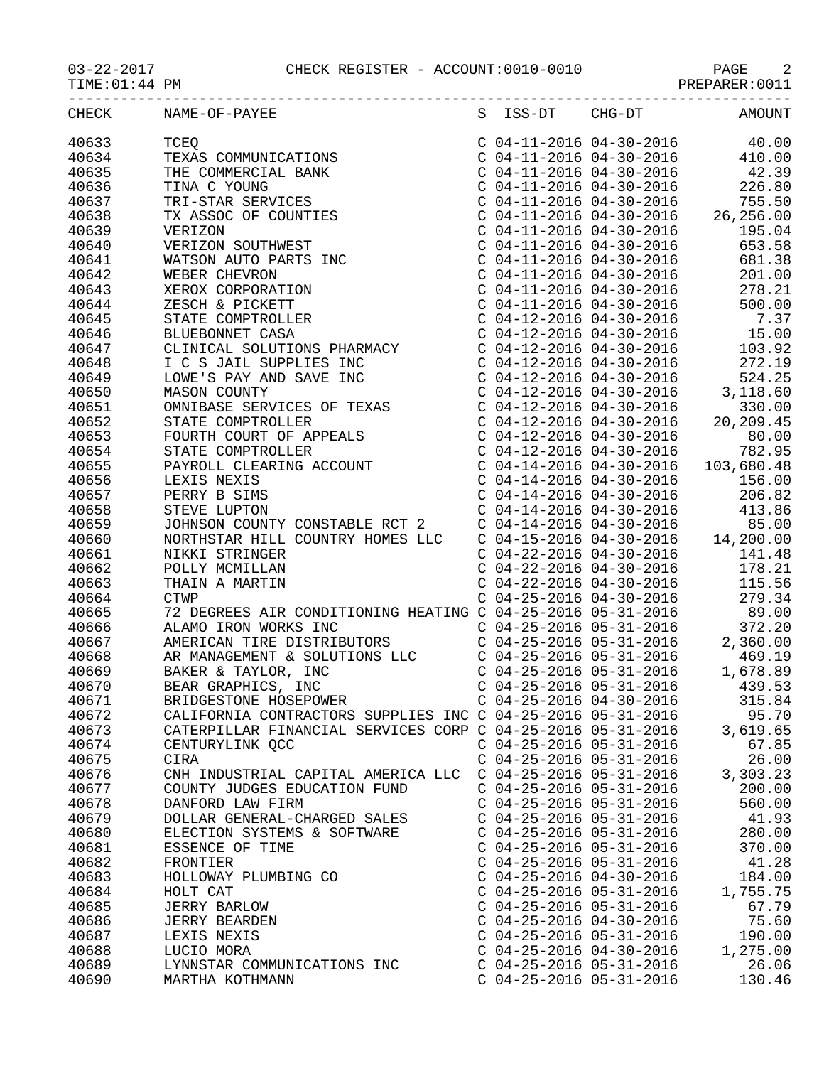03-22-2017 CHECK REGISTER - ACCOUNT:0010-0010 PAGE 2

-----------------------------------------------------------------------------------

| CHECK | NAME-OF-PAYEE                                                                                                                                                                                                                                                                                                                                                                              | S | ISS-DT                    | $CHG-DT$                                                                      | AMOUNT   |
|-------|--------------------------------------------------------------------------------------------------------------------------------------------------------------------------------------------------------------------------------------------------------------------------------------------------------------------------------------------------------------------------------------------|---|---------------------------|-------------------------------------------------------------------------------|----------|
| 40633 | $\begin{tabular}{l c c c c c} \multicolumn{4}{l}{\textbf{NAME-OF-PAYEE}} & \multicolumn{4}{l}{S} & \multicolumn{4}{l}{555-DT} & \multicolumn{4}{l}{CH-G-DT} & \multicolumn{4}{l}{\textbf{MMOUNT}} \\ \multicolumn{4}{l}{\textbf{TEES}} & \multicolumn{4}{l}{\textbf{C 04-11-2016 04-30-2016 42.39} } & \multicolumn{4}{l}{\textbf{C 04-11-2016 04-30-2016 42.39} } \\ \multicolumn{4}{l}{$ |   |                           |                                                                               |          |
| 40634 |                                                                                                                                                                                                                                                                                                                                                                                            |   |                           |                                                                               |          |
| 40635 |                                                                                                                                                                                                                                                                                                                                                                                            |   |                           |                                                                               |          |
| 40636 |                                                                                                                                                                                                                                                                                                                                                                                            |   |                           |                                                                               |          |
| 40637 |                                                                                                                                                                                                                                                                                                                                                                                            |   |                           |                                                                               |          |
| 40638 |                                                                                                                                                                                                                                                                                                                                                                                            |   |                           |                                                                               |          |
| 40639 |                                                                                                                                                                                                                                                                                                                                                                                            |   |                           |                                                                               |          |
| 40640 |                                                                                                                                                                                                                                                                                                                                                                                            |   |                           |                                                                               |          |
| 40641 |                                                                                                                                                                                                                                                                                                                                                                                            |   |                           |                                                                               |          |
| 40642 |                                                                                                                                                                                                                                                                                                                                                                                            |   |                           |                                                                               |          |
| 40643 |                                                                                                                                                                                                                                                                                                                                                                                            |   |                           |                                                                               |          |
| 40644 |                                                                                                                                                                                                                                                                                                                                                                                            |   |                           |                                                                               |          |
| 40645 |                                                                                                                                                                                                                                                                                                                                                                                            |   |                           |                                                                               |          |
| 40646 |                                                                                                                                                                                                                                                                                                                                                                                            |   |                           |                                                                               |          |
| 40647 |                                                                                                                                                                                                                                                                                                                                                                                            |   |                           |                                                                               |          |
| 40648 |                                                                                                                                                                                                                                                                                                                                                                                            |   |                           |                                                                               |          |
|       |                                                                                                                                                                                                                                                                                                                                                                                            |   |                           |                                                                               |          |
| 40649 |                                                                                                                                                                                                                                                                                                                                                                                            |   |                           |                                                                               |          |
| 40650 |                                                                                                                                                                                                                                                                                                                                                                                            |   |                           |                                                                               |          |
| 40651 |                                                                                                                                                                                                                                                                                                                                                                                            |   |                           |                                                                               |          |
| 40652 |                                                                                                                                                                                                                                                                                                                                                                                            |   |                           |                                                                               |          |
| 40653 |                                                                                                                                                                                                                                                                                                                                                                                            |   |                           |                                                                               |          |
| 40654 |                                                                                                                                                                                                                                                                                                                                                                                            |   |                           |                                                                               |          |
| 40655 |                                                                                                                                                                                                                                                                                                                                                                                            |   |                           |                                                                               |          |
| 40656 |                                                                                                                                                                                                                                                                                                                                                                                            |   |                           |                                                                               |          |
| 40657 | LEXIS NEXIS<br>LEXIS NEXIS<br>DERRY B SIMS<br>STEVE LUPTON<br>STEVE LUPTON<br>C 04-14-2016 04-30-2016<br>C 04-14-2016 04-30-2016<br>C 04-14-2016 04-30-2016<br>C 04-14-2016 04-30-2016<br>C 04-14-2016 04-30-2016<br>C 04-14-2016 04-30-2016<br>A13.                                                                                                                                       |   |                           |                                                                               |          |
| 40658 |                                                                                                                                                                                                                                                                                                                                                                                            |   |                           |                                                                               |          |
| 40659 |                                                                                                                                                                                                                                                                                                                                                                                            |   |                           |                                                                               |          |
| 40660 |                                                                                                                                                                                                                                                                                                                                                                                            |   |                           |                                                                               |          |
| 40661 | NIKKI STRINGER                                                                                                                                                                                                                                                                                                                                                                             |   |                           | $C$ 04-22-2016 04-30-2016                                                     | 141.48   |
| 40662 | POLLY MCMILLAN                                                                                                                                                                                                                                                                                                                                                                             |   |                           | C 04-22-2016 04-30-2016<br>C 04-22-2016 04-30-2016<br>C 04-25-2016 04-30-2016 | 178.21   |
| 40663 | THAIN A MARTIN                                                                                                                                                                                                                                                                                                                                                                             |   |                           |                                                                               | 115.56   |
| 40664 | <b>CTWP</b>                                                                                                                                                                                                                                                                                                                                                                                |   |                           |                                                                               | 279.34   |
| 40665 | 72 DEGREES AIR CONDITIONING HEATING C 04-25-2016 05-31-2016 89.00                                                                                                                                                                                                                                                                                                                          |   |                           |                                                                               |          |
| 40666 | ALAMO IRON WORKS INC<br>ALAMO IRON WORKS INC<br>AMERICAN TIRE DISTRIBUTORS<br>AR MANAGEMENT & SOLUTIONS LLC<br>BAKER & TAYLOR, INC<br>BEAR GRAPHICS, INC<br>BEAR GRAPHICS, INC<br>C 04-25-2016 05-31-2016<br>C 04-25-2016 05-31-2016<br>C 04-25-                                                                                                                                           |   |                           |                                                                               |          |
| 40667 |                                                                                                                                                                                                                                                                                                                                                                                            |   |                           |                                                                               |          |
| 40668 |                                                                                                                                                                                                                                                                                                                                                                                            |   |                           |                                                                               |          |
| 40669 |                                                                                                                                                                                                                                                                                                                                                                                            |   |                           |                                                                               |          |
| 40670 |                                                                                                                                                                                                                                                                                                                                                                                            |   |                           |                                                                               |          |
| 40671 |                                                                                                                                                                                                                                                                                                                                                                                            |   |                           |                                                                               |          |
| 40672 | CALIFORNIA CONTRACTORS SUPPLIES INC C 04-25-2016 05-31-2016                                                                                                                                                                                                                                                                                                                                |   |                           |                                                                               | 95.70    |
| 40673 | CATERPILLAR FINANCIAL SERVICES CORP C 04-25-2016 05-31-2016                                                                                                                                                                                                                                                                                                                                |   |                           |                                                                               | 3,619.65 |
| 40674 | CENTURYLINK QCC                                                                                                                                                                                                                                                                                                                                                                            |   | $C$ 04-25-2016 05-31-2016 |                                                                               | 67.85    |
| 40675 | <b>CIRA</b>                                                                                                                                                                                                                                                                                                                                                                                |   | $C$ 04-25-2016 05-31-2016 |                                                                               | 26.00    |
| 40676 | CNH INDUSTRIAL CAPITAL AMERICA LLC C 04-25-2016 05-31-2016                                                                                                                                                                                                                                                                                                                                 |   |                           |                                                                               | 3,303.23 |
| 40677 | COUNTY JUDGES EDUCATION FUND                                                                                                                                                                                                                                                                                                                                                               |   | $C$ 04-25-2016 05-31-2016 |                                                                               | 200.00   |
| 40678 | DANFORD LAW FIRM                                                                                                                                                                                                                                                                                                                                                                           |   | $C$ 04-25-2016 05-31-2016 |                                                                               | 560.00   |
| 40679 | DOLLAR GENERAL-CHARGED SALES                                                                                                                                                                                                                                                                                                                                                               |   | $C$ 04-25-2016 05-31-2016 |                                                                               | 41.93    |
| 40680 | ELECTION SYSTEMS & SOFTWARE                                                                                                                                                                                                                                                                                                                                                                |   | $C$ 04-25-2016 05-31-2016 |                                                                               | 280.00   |
| 40681 | ESSENCE OF TIME                                                                                                                                                                                                                                                                                                                                                                            |   | $C$ 04-25-2016 05-31-2016 |                                                                               | 370.00   |
| 40682 | FRONTIER                                                                                                                                                                                                                                                                                                                                                                                   |   | $C$ 04-25-2016 05-31-2016 |                                                                               | 41.28    |
| 40683 | HOLLOWAY PLUMBING CO                                                                                                                                                                                                                                                                                                                                                                       |   | $C$ 04-25-2016 04-30-2016 |                                                                               | 184.00   |
|       |                                                                                                                                                                                                                                                                                                                                                                                            |   |                           |                                                                               |          |
| 40684 | HOLT CAT                                                                                                                                                                                                                                                                                                                                                                                   |   | $C$ 04-25-2016 05-31-2016 |                                                                               | 1,755.75 |
| 40685 | <b>JERRY BARLOW</b>                                                                                                                                                                                                                                                                                                                                                                        |   | $C$ 04-25-2016 05-31-2016 |                                                                               | 67.79    |
| 40686 | <b>JERRY BEARDEN</b>                                                                                                                                                                                                                                                                                                                                                                       |   | $C$ 04-25-2016 04-30-2016 |                                                                               | 75.60    |
| 40687 | LEXIS NEXIS                                                                                                                                                                                                                                                                                                                                                                                |   | $C$ 04-25-2016 05-31-2016 |                                                                               | 190.00   |
| 40688 | LUCIO MORA                                                                                                                                                                                                                                                                                                                                                                                 |   | $C$ 04-25-2016 04-30-2016 |                                                                               | 1,275.00 |
| 40689 | LYNNSTAR COMMUNICATIONS INC                                                                                                                                                                                                                                                                                                                                                                |   | $C$ 04-25-2016 05-31-2016 |                                                                               | 26.06    |
| 40690 | MARTHA KOTHMANN                                                                                                                                                                                                                                                                                                                                                                            |   | $C$ 04-25-2016 05-31-2016 |                                                                               | 130.46   |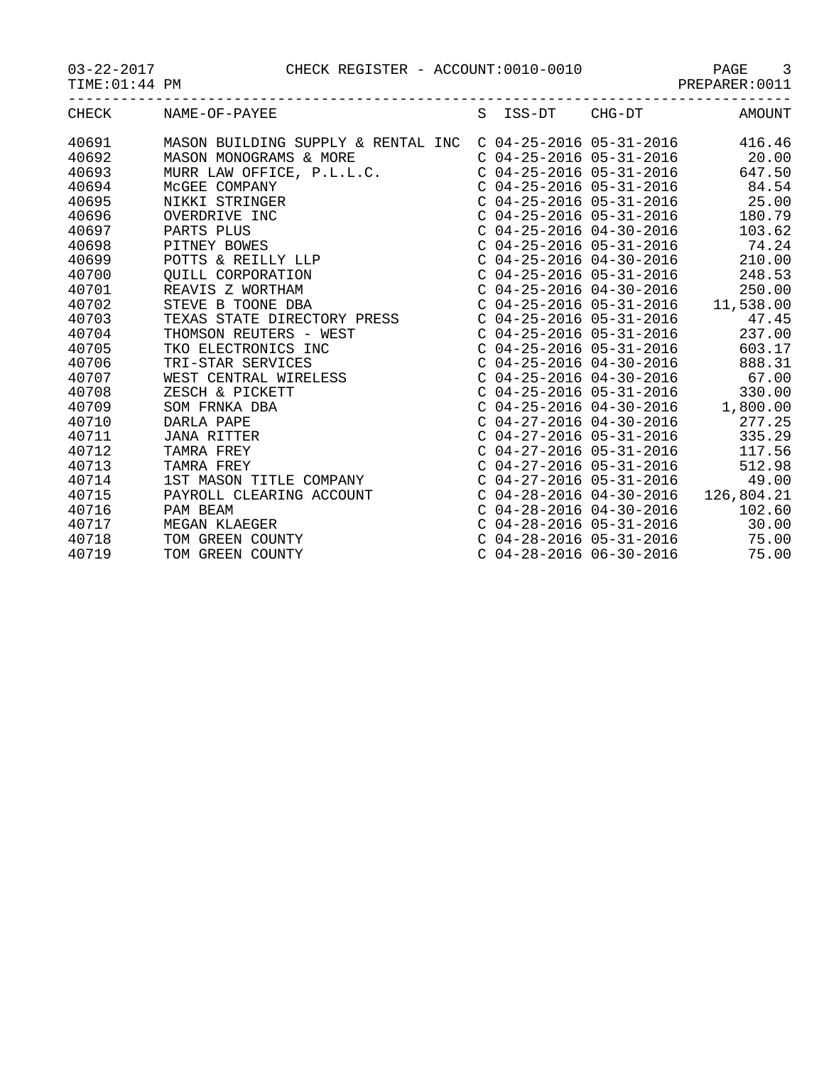03-22-2017 CHECK REGISTER - ACCOUNT:0010-0010 PAGE 3

|  | $03 - 22 - 201$ |  |
|--|-----------------|--|
|  |                 |  |

TIME:01:44 PM PREPARER:0011

| $\Gamma$ HE (<br>----- | NAN.<br>MT<br>৲⊤<br>77.T.P<br>ີ |  | ∩⊓.<br>1T T7<br>$H1 -$ | \ MK |
|------------------------|---------------------------------|--|------------------------|------|

| CHECK | NAME-OF-PAYEE                      | S ISS-DT                  | $CHG-DT$                    | <b>AMOUNT</b>                      |
|-------|------------------------------------|---------------------------|-----------------------------|------------------------------------|
| 40691 | MASON BUILDING SUPPLY & RENTAL INC |                           | $C$ 04-25-2016 05-31-2016   | 416.46                             |
| 40692 | MASON MONOGRAMS & MORE             |                           | $C$ 04-25-2016 05-31-2016   | 20.00                              |
| 40693 | MURR LAW OFFICE, P.L.L.C.          |                           | $C$ 04-25-2016 05-31-2016   | 647.50                             |
| 40694 | MCGEE COMPANY                      |                           | $C$ 04-25-2016 05-31-2016   | 84.54                              |
| 40695 | NIKKI STRINGER                     |                           |                             | $C$ 04-25-2016 05-31-2016 25.00    |
| 40696 | OVERDRIVE INC                      |                           | $C$ 04-25-2016 05-31-2016   | 180.79                             |
| 40697 | PARTS PLUS                         |                           | $C$ 04-25-2016 04-30-2016   | 103.62                             |
| 40698 | PITNEY BOWES                       |                           | $C$ 04-25-2016 05-31-2016   | 74.24                              |
| 40699 | POTTS & REILLY LLP                 |                           | $C$ 04-25-2016 04-30-2016   | 210.00                             |
| 40700 | QUILL CORPORATION                  |                           | C 04-25-2016 05-31-2016     | 248.53                             |
| 40701 | REAVIS Z WORTHAM                   |                           | $C$ 04-25-2016 04-30-2016   | 250.00                             |
| 40702 | STEVE B TOONE DBA                  |                           | $C$ 04-25-2016 05-31-2016   | 11,538.00                          |
| 40703 | TEXAS STATE DIRECTORY PRESS        |                           | $C$ 04-25-2016 05-31-2016   | 47.45                              |
| 40704 | THOMSON REUTERS - WEST             |                           | $C$ 04-25-2016 05-31-2016   | 237.00                             |
| 40705 | TKO ELECTRONICS INC                |                           | $C$ 04-25-2016 05-31-2016   | 603.17                             |
| 40706 | TRI-STAR SERVICES                  |                           | $C$ 04-25-2016 04-30-2016   | 888.31                             |
| 40707 | WEST CENTRAL WIRELESS              |                           | $C$ 04-25-2016 04-30-2016   | 67.00                              |
| 40708 | ZESCH & PICKETT                    |                           | $C$ 04-25-2016 05-31-2016   | 330.00                             |
| 40709 | SOM FRNKA DBA                      |                           |                             | $C$ 04-25-2016 04-30-2016 1,800.00 |
| 40710 | DARLA PAPE                         |                           | $C$ 04-27-2016 04-30-2016   | 277.25                             |
| 40711 | JANA RITTER                        |                           | $C$ 04-27-2016 05-31-2016   | 335.29                             |
| 40712 | TAMRA FREY                         |                           | C $04-27-2016$ $05-31-2016$ | 117.56                             |
| 40713 | TAMRA FREY                         |                           | $C$ 04-27-2016 05-31-2016   | 512.98                             |
| 40714 | 1ST MASON TITLE COMPANY            |                           | $C$ 04-27-2016 05-31-2016   | 49.00                              |
| 40715 | PAYROLL CLEARING ACCOUNT           |                           | $C$ 04-28-2016 04-30-2016   | 126,804.21                         |
| 40716 | PAM BEAM                           |                           | $C$ 04-28-2016 04-30-2016   | 102.60                             |
| 40717 | MEGAN KLAEGER                      |                           | $C$ 04-28-2016 05-31-2016   | 30.00                              |
| 40718 | TOM GREEN COUNTY                   |                           | $C$ 04-28-2016 05-31-2016   | 75.00                              |
| 40719 | TOM GREEN COUNTY                   | $C$ 04-28-2016 06-30-2016 |                             | 75.00                              |